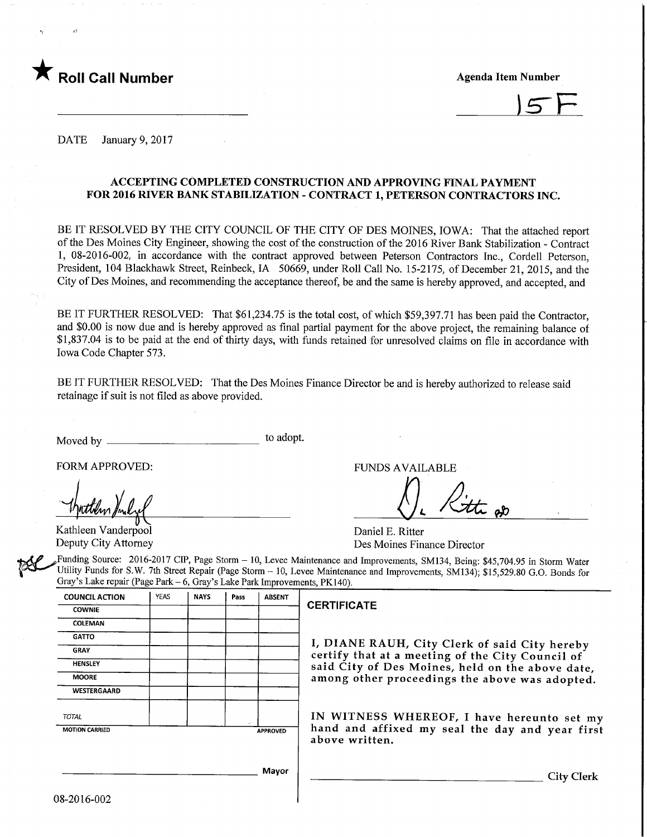

 $5F$ 

DATE January 9, 2017

### ACCEPTING COMPLETED CONSTRUCTION AND APPROVING FINAL PAYMENT FOR 2016 RIVER BANK STABILIZATION - CONTRACT 1, PETERSON CONTRACTORS INC.

BE IT RESOLVED BY THE CITY COUNCIL OF THE CITY OF DES MOINES, IOWA: That the attached report of the Des Moines City Engineer, showing the cost of the construction of the 2016 River Bank Stabilization - Contract 1, 08-2016-002, in accordance with the contract approved between Peterson Contractors Inc., Cordell Peterson, President, 104 Blackhawk Street, Reinbeck, IA 50669, under Roll Call No. 15-2175, of December 21, 2015, and the City of Des Moines, and recommending the acceptance thereof, be and the same is hereby approved, and accepted, and

BE IT FURTHER RESOLVED: That \$61,234.75 is the total cost, of which \$59,397.71 has been paid the Contractor, and \$0.00 is now due and is hereby approved as final partial payment for the above project, the remaining balance of \$1,837.04 is to be paid at the end of thirty days, with funds retained for unresolved claims on file in accordance with Iowa Code Chapter 573.

BE IT FURTHER RESOLVED: That the Des Moines Finance Director be and is hereby authorized to release said retainage if suit is not filed as above provided.

Moved by to adopt.

Kathleen Vanderpool Deputy City Attorney

FORM APPROVED: THE RESERVED OF THE RESERVED FUNDS AVAILABLE

Daniel E. Ritter Des Moines Finance Director

Funding Source: 2016-2017 CIP, Page Storm - 10, Levee Maintenance and Improvements, SM134, Being: \$45,704.95 in Storm Water Utility Funds for S.W. 7th Street Repair (Page Storm - 10, Levee Maintenance and Improvements, SM134); \$15,529.80 G.O. Bonds for Gray's Lake repair (Page Park - 6, Gray's Lake Park Improvements, PK140).

| <b>YEAS</b> | <b>NAYS</b> | Pass | <b>ABSENT</b>   |                                                                                                   |  |  |  |  |  |
|-------------|-------------|------|-----------------|---------------------------------------------------------------------------------------------------|--|--|--|--|--|
|             |             |      |                 | <b>CERTIFICATE</b>                                                                                |  |  |  |  |  |
|             |             |      |                 |                                                                                                   |  |  |  |  |  |
|             |             |      |                 |                                                                                                   |  |  |  |  |  |
|             |             |      |                 | I, DIANE RAUH, City Clerk of said City hereby<br>certify that at a meeting of the City Council of |  |  |  |  |  |
|             |             |      |                 | said City of Des Moines, held on the above date,                                                  |  |  |  |  |  |
|             |             |      |                 | among other proceedings the above was adopted.                                                    |  |  |  |  |  |
|             |             |      |                 |                                                                                                   |  |  |  |  |  |
|             |             |      |                 | IN WITNESS WHEREOF, I have hereunto set my                                                        |  |  |  |  |  |
|             |             |      | <b>APPROVED</b> | hand and affixed my seal the day and year first<br>above written.                                 |  |  |  |  |  |
|             |             |      | Mayor           | City Clerk                                                                                        |  |  |  |  |  |
|             |             |      |                 |                                                                                                   |  |  |  |  |  |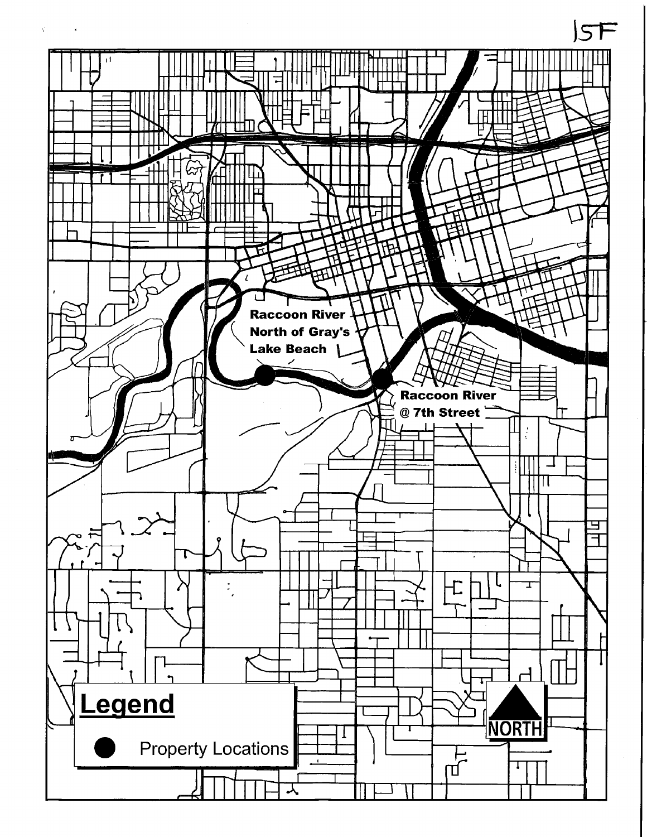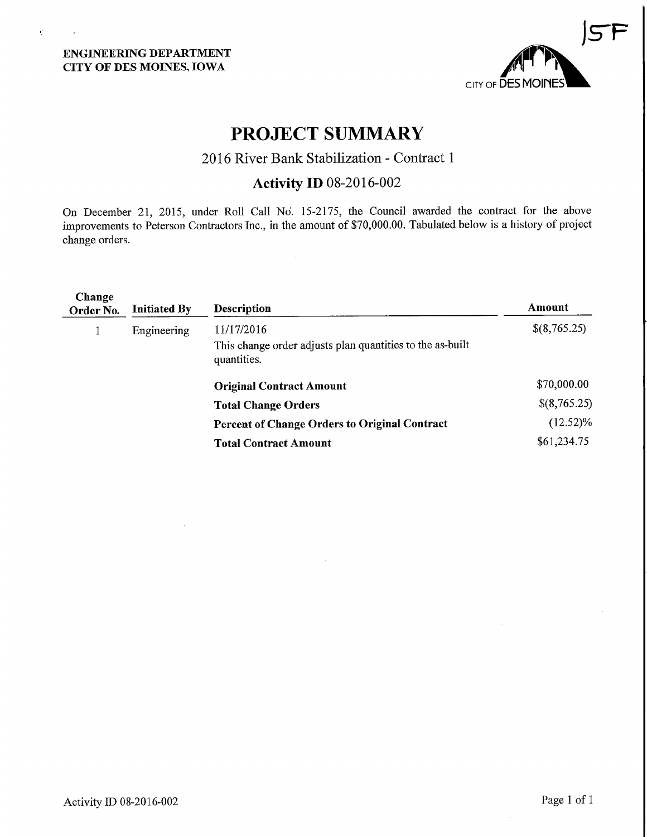## ENGINEERING DEPARTMENT CITY OF DES MOINES, IOWA

 $\mathbf{q}^{\prime}$ 

 $\sim 10^7$ 



# PROJECT SUMMARY

# 2016 River Bank Stabilization - Contract 1

# Activity ID 08-2016-002

On December 21, 2015, under Roll Call No. 15-2175, the Council awarded the contract for the above improvements to Peterson Contractors Inc., in the amount of \$70,000.00. Tabulated below is a history of project change orders.

 $\hat{\boldsymbol{\beta}}$ 

| Change<br>Order No. | <b>Initiated By</b> | <b>Description</b>                                                                     | Amount       |
|---------------------|---------------------|----------------------------------------------------------------------------------------|--------------|
|                     | Engineering         | 11/17/2016<br>This change order adjusts plan quantities to the as-built<br>quantities. | \$(8,765.25) |
|                     |                     | <b>Original Contract Amount</b>                                                        | \$70,000.00  |
|                     |                     | <b>Total Change Orders</b>                                                             | \$(8,765.25) |
|                     |                     | <b>Percent of Change Orders to Original Contract</b>                                   | $(12.52)\%$  |
|                     |                     | <b>Total Contract Amount</b>                                                           | \$61,234.75  |
|                     |                     |                                                                                        |              |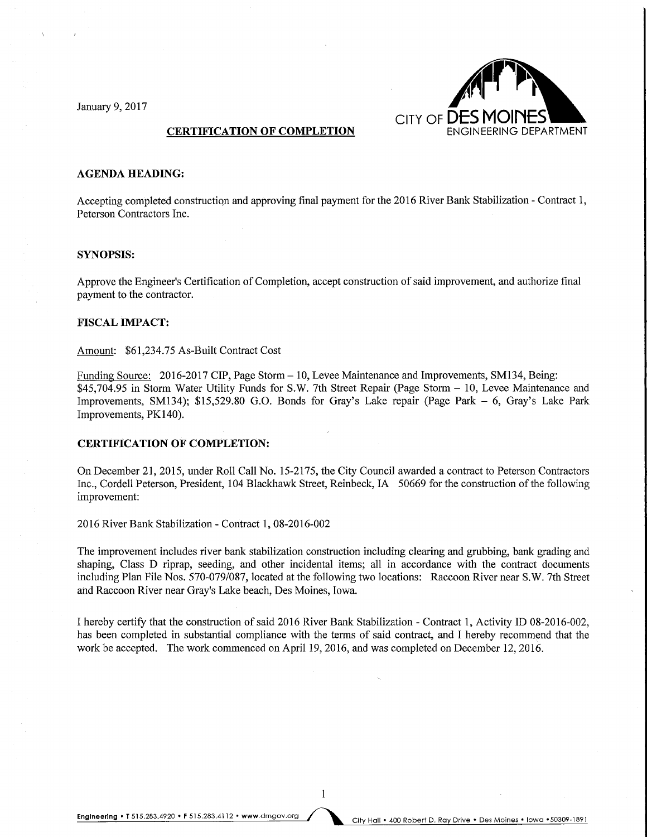

#### AGENDA HEADING:

Accepting completed construction and approving final payment for the 2016 River Bank Stabilization - Contract 1, Peterson Contractors Inc.

#### SYNOPSIS:

Approve the Engineer's Certification of Completion, accept construction of said improvement, and authorize final payment to the contractor.

#### FISCAL IMPACT:

Amount: \$61,234.75 As-Built Contract Cost

Funding Source: 2016-2017 CIP, Page Storm - 10, Levee Maintenance and Improvements, SM134, Being: \$45,704.95 in Storm Water Utility Funds for S.W. 7th Street Repair (Page Storm - 10, Levee Maintenance and Improvements, SM134); \$15,529.80 G.O. Bonds for Gray's Lake repair (Page Park - 6, Gray's Lake Park Improvements, PK140).

#### CERTIFICATION OF COMPLETION:

On December 21, 2015, under Roll Call No. 15-2175, the City Council awarded a contract to Peterson Contractors Inc., Cordell Peterson, President, 104 Blackhawk Street, Reinbeck, IA 50669 for the construction of the following improvement:

2016 River Bank Stabilization - Contract 1, 08-2016-002

The improvement includes river bank stabilization construction including clearing and grubbing, bank grading and shaping, Class D riprap, seeding, and other incidental items; all in accordance with the contract documents including Plan File Nos. 570-079/087, located at the following two locations: Raccoon River near S.W. 7th Street and Raccoon River near Gray's Lake beach, Des Moines, Iowa.

I hereby certify that the construction of said 2016 River Bank Stabilization - Contract 1, Activity ID 08-2016-002, has been completed in substantial compliance with the terms of said contract, and I hereby recommend that the work be accepted. The work commenced on April 19, 2016, and was completed on December 12,2016.

 $\mathbf{1}$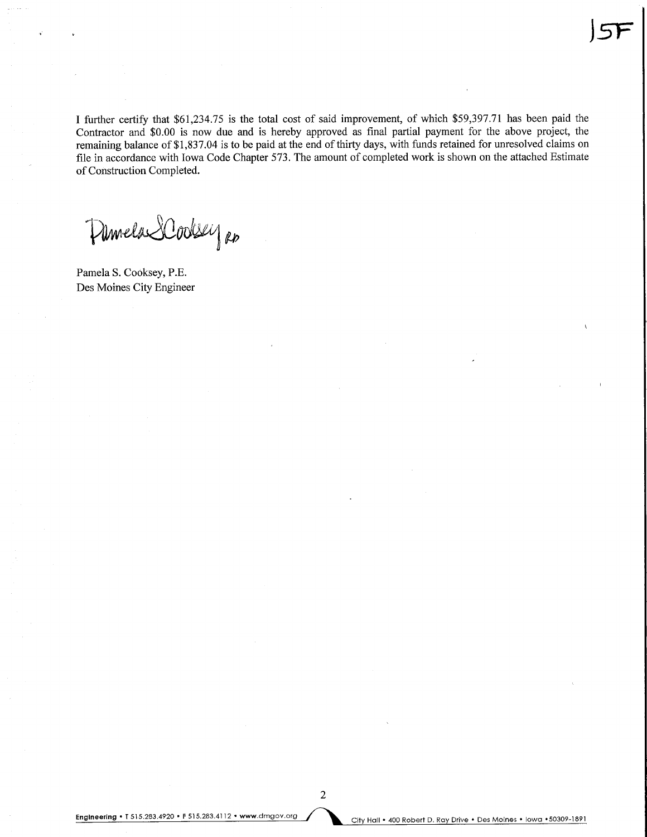I further certify that \$61,234.75 is the total cost of said improvement, of which \$59,397.71 has been paid the Contractor and \$0.00 is now due and is hereby approved as final partial payment for the above project, the remaining balance of \$1,837.04 is to be paid at the end of thirty days, with funds retained for unresolved claims on file in accordance with Iowa Code Chapter 573. The amount of completed work is shown on the attached Estimate of Construction Completed.

Pamela SCoolsey RD

Pamela S. Cooksey, P.E. Des Moines City Engineer